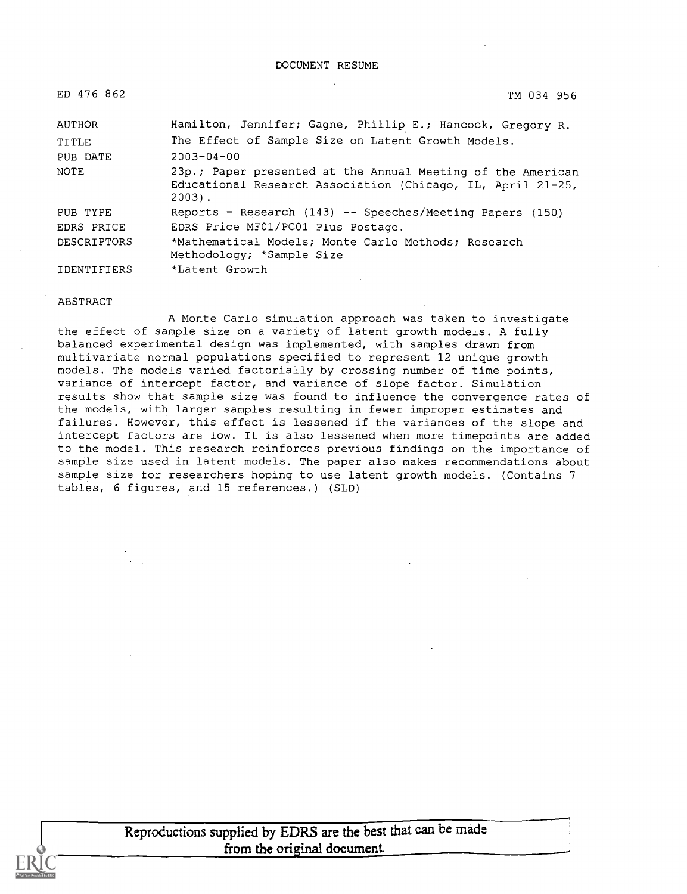| ED 476 862         | TM 034 956                                                                                                                             |
|--------------------|----------------------------------------------------------------------------------------------------------------------------------------|
| AUTHOR             | Hamilton, Jennifer; Gagne, Phillip E.; Hancock, Gregory R.                                                                             |
| TITLE              | The Effect of Sample Size on Latent Growth Models.                                                                                     |
| PUB DATE           | $2003 - 04 - 00$                                                                                                                       |
| NOTE               | 23p.; Paper presented at the Annual Meeting of the American<br>Educational Research Association (Chicago, IL, April 21-25,<br>$2003$ . |
| PUB TYPE           | Reports - Research (143) -- Speeches/Meeting Papers (150)                                                                              |
| EDRS PRICE         | EDRS Price MF01/PC01 Plus Postage.                                                                                                     |
| <b>DESCRIPTORS</b> | *Mathematical Models; Monte Carlo Methods; Research<br>Methodology; *Sample Size                                                       |
| <b>IDENTIFIERS</b> | *Latent Growth                                                                                                                         |

#### ABSTRACT

A Monte Carlo simulation approach was taken to investigate the effect of sample size on a variety of latent growth models. A fully balanced experimental design was implemented, with samples drawn from multivariate normal populations specified to represent 12 unique growth models. The models varied factorially by crossing number of time points, variance of intercept factor, and variance of slope factor. Simulation results show that sample size was found to influence the convergence rates of the models, with larger samples resulting in fewer improper estimates and failures. However, this effect is lessened if the variances of the slope and intercept factors are low. It is also lessened when more timepoints are added to the model. This research reinforces previous findings on the importance of sample size used in latent models. The paper also makes recommendations about sample size for researchers hoping to use latent growth models. (Contains 7 tables, 6 figures, and 15 references.) (SLD)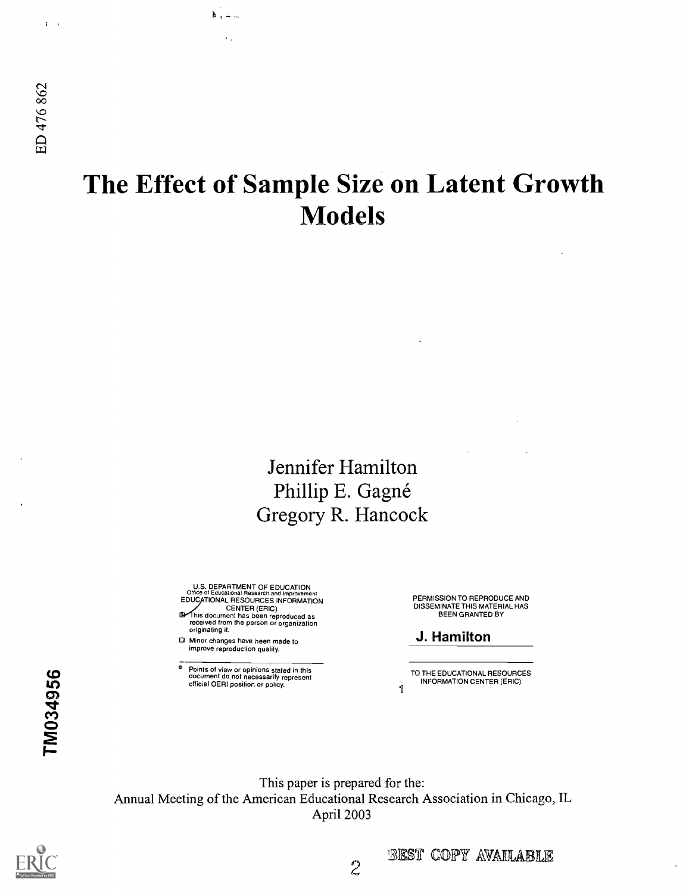$\mathbf{C} = \mathbf{0}$ 

# The Effect of Sample Size on Latent Growth Models

# Jennifer Hamilton Phillip E. Gagné Gregory R. Hancock

U.S. DEPARTMENT OF EDUCATION<br>Office of Educational Research and Improvement<br>EDUCATIONAL RESOURCES INFORMATION

- CENTER (ERIC) his document has been reproduced as received from the person or organization originating it.
- Minor changes have been made to improve reproduction quality.

 $k_1 -$ 

 $\mathbf{v}$  .

<sup>o</sup> Points of view or opinions stated in this document do not necessarily represent official OERI position or policy.<br>
OD

PERMISSION TO REPRODUCE AND DISSEMINATE THIS MATERIAL HAS BEEN GRANTED BY

## J. Hamilton

TO THE EDUCATIONAL RESOURCES INFORMATION CENTER (ERIC)

This paper is prepared for the: Annual Meeting of the American Educational Research Association in Chicago, IL April 2003

# TM034956  $\mathbf{H}$  $\mathcal{\tilde{P}}$  and  $\mathcal{\tilde{P}}$



BEST COPY AVAILABLE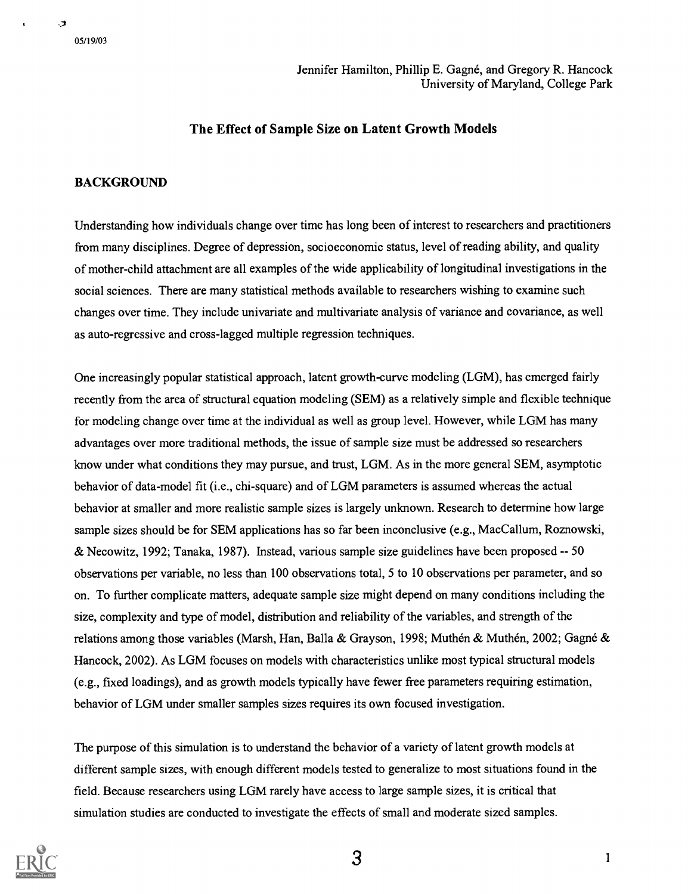## The Effect of Sample Size on Latent Growth Models

## BACKGROUND

Understanding how individuals change over time has long been of interest to researchers and practitioners from many disciplines. Degree of depression, socioeconomic status, level of reading ability, and quality of mother-child attachment are all examples of the wide applicability of longitudinal investigations in the social sciences. There are many statistical methods available to researchers wishing to examine such changes over time. They include univariate and multivariate analysis of variance and covariance, as well as auto-regressive and cross-lagged multiple regression techniques.

One increasingly popular statistical approach, latent growth-curve modeling (LGM), has emerged fairly recently from the area of structural equation modeling (SEM) as a relatively simple and flexible technique for modeling change over time at the individual as well as group level. However, while LGM has many advantages over more traditional methods, the issue of sample size must be addressed so researchers know under what conditions they may pursue, and trust, LGM. As in the more general SEM, asymptotic behavior of data-model fit (i.e., chi-square) and of LGM parameters is assumed whereas the actual behavior at smaller and more realistic sample sizes is largely unknown. Research to determine how large sample sizes should be for SEM applications has so far been inconclusive (e.g., MacCallum, Roznowski, & Necowitz, 1992; Tanaka, 1987). Instead, various sample size guidelines have been proposed -- 50 observations per variable, no less than 100 observations total, 5 to 10 observations per parameter, and so on. To further complicate matters, adequate sample size might depend on many conditions including the size, complexity and type of model, distribution and reliability of the variables, and strength of the relations among those variables (Marsh, Han, Balla & Grayson, 1998; Muthén & Muthén, 2002; Gagné & Hancock, 2002). As LGM focuses on models with characteristics unlike most typical structural models (e.g., fixed loadings), and as growth models typically have fewer free parameters requiring estimation, behavior of LGM under smaller samples sizes requires its own focused investigation.

The purpose of this simulation is to understand the behavior of a variety of latent growth models at different sample sizes, with enough different models tested to generalize to most situations found in the field. Because researchers using LGM rarely have access to large sample sizes, it is critical that simulation studies are conducted to investigate the effects of small and moderate sized samples.



 $3 \t\t\t 1$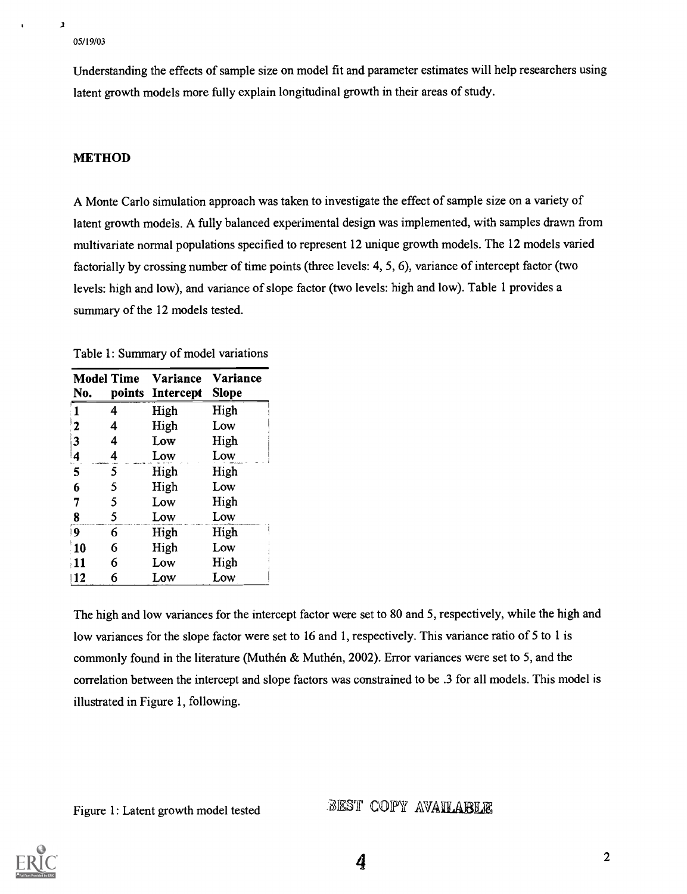$\mathbf{r}$ 

Understanding the effects of sample size on model fit and parameter estimates will help researchers using latent growth models more fully explain longitudinal growth in their areas of study.

## METHOD

A Monte Carlo simulation approach was taken to investigate the effect of sample size on a variety of latent growth models. A fully balanced experimental design was implemented, with samples drawn from multivariate normal populations specified to represent 12 unique growth models. The 12 models varied factorially by crossing number of time points (three levels: 4, 5, 6), variance of intercept factor (two levels: high and low), and variance of slope factor (two levels: high and low). Table 1 provides a summary of the 12 models tested.

Table 1: Summary of model variations

| <b>Model Time</b><br>No. |   | Variance<br>points Intercept | Variance<br><b>Slope</b> |
|--------------------------|---|------------------------------|--------------------------|
|                          | 4 | High                         | High                     |
| $\mathbf{2}$             | 4 | High                         | Low                      |
| $\overline{\mathbf{3}}$  | 4 | Low                          | High                     |
| 4                        | 4 | Low                          | Low                      |
| 5                        | 5 | High                         | High                     |
| 6                        | 5 | High                         | Low                      |
| 7                        | 5 | Low                          | High                     |
| 8                        | 5 | Low                          | Low                      |
| $\overline{9}$           | 6 | High                         | High                     |
| 10                       | 6 | High                         | Low                      |
| $\frac{11}{2}$           | 6 | Low                          | High                     |
| 12                       | 6 | Low                          | Low                      |

The high and low variances for the intercept factor were set to 80 and 5, respectively, while the high and low variances for the slope factor were set to 16 and 1, respectively. This variance ratio of 5 to 1 is commonly found in the literature (Muthén & Muthén, 2002). Error variances were set to 5, and the correlation between the intercept and slope factors was constrained to be .3 for all models. This model is illustrated in Figure 1, following.

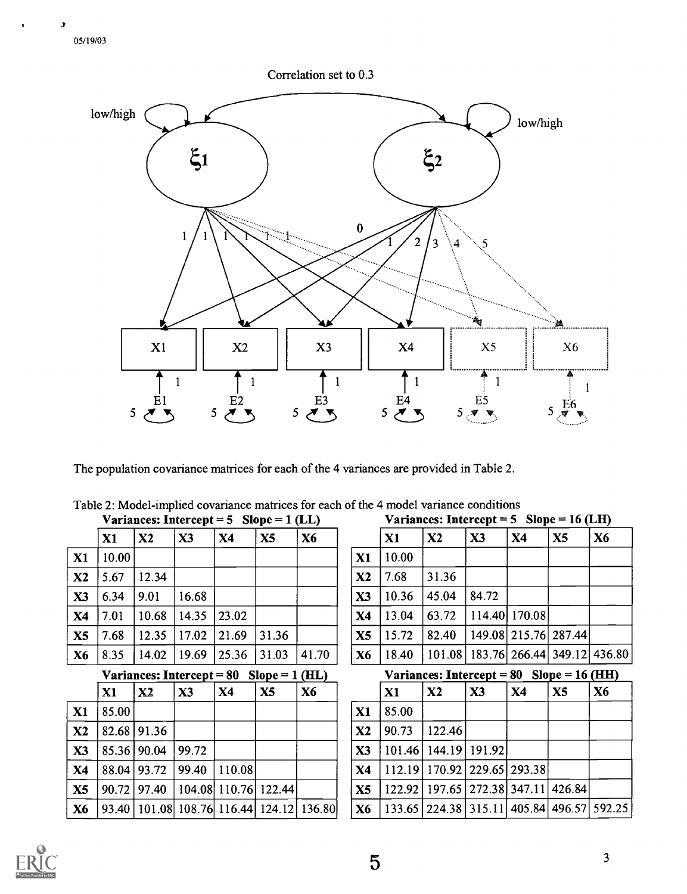3

 $\bullet$ 





The population covariance matrices for each of the 4 variances are provided in Table 2.

|                |       | Variances: Intercept = 5 Slope = 1 (LL) |        |        |                             |                |                |  |  |
|----------------|-------|-----------------------------------------|--------|--------|-----------------------------|----------------|----------------|--|--|
|                | X1    | X2                                      | X3     | X4     | X5                          | X <sub>6</sub> |                |  |  |
| $\mathbf{X}1$  | 10.00 |                                         |        |        |                             |                | X1             |  |  |
| X2             | 5.67  | 12.34                                   |        |        |                             |                | $\mathbf{X2}$  |  |  |
| X3             | 6.34  | 9.01                                    | 16.68  |        |                             |                | X3             |  |  |
| X4             | 7.01  | 10.68                                   | 14.35  | 23.02  |                             |                | X4             |  |  |
| X5             | 7.68  | 12.35                                   | 17.02  | 21.69  | 31.36                       |                | X <sub>5</sub> |  |  |
| X <sub>6</sub> | 8.35  | 14.02                                   | 19.69  | 25.36  | 31.03                       | 41.70          | X <sub>6</sub> |  |  |
|                |       | Variances: Intercept $= 80$             |        |        | $Slope = 1 (HL)$            |                |                |  |  |
|                | X1    | X <sub>2</sub>                          | X3     | X4     | X5                          | X6             |                |  |  |
| X1             | 85.00 |                                         |        |        |                             |                | X1             |  |  |
| X2             | 82.68 | 91.36                                   |        |        |                             |                | X <sub>2</sub> |  |  |
| X3             | 85.36 | 90.04                                   | 99.72  |        |                             |                | X3             |  |  |
| X4             | 88.04 | 93.72                                   | 99.40  | 110.08 |                             |                | X4             |  |  |
| X5             | 90.72 | 97.40                                   | 104.08 | 110.76 | 122.44                      |                | X5             |  |  |
| X6             | 93.40 |                                         |        |        | 101.08 108.76 116.44 124.12 | 136.80         | X <sub>6</sub> |  |  |

|  |  |  | Table 2: Model-implied covariance matrices for each of the 4 model variance conditions |  |  |
|--|--|--|----------------------------------------------------------------------------------------|--|--|
|  |  |  |                                                                                        |  |  |

Variances: Intercept =  $5$  Slope = 16 (LH)

|                |       | variances: There cept $-$ 3 slope $-$ 10 (ETT) |       |                      |                |                                            |
|----------------|-------|------------------------------------------------|-------|----------------------|----------------|--------------------------------------------|
|                | X1    | X2                                             | X3    | <b>X4</b>            | X <sub>5</sub> | X6                                         |
| X1             | 10.00 |                                                |       |                      |                |                                            |
| X <sub>2</sub> | 7.68  | 31.36                                          |       |                      |                |                                            |
| X3             | 10.36 | 45.04                                          | 84.72 |                      |                |                                            |
| <b>X4</b>      | 13.04 | 63.72                                          |       | 114.40 170.08        |                |                                            |
| X5             | 15.72 | 82.40                                          |       | 149.08 215.76 287.44 |                |                                            |
| <b>X6</b>      | 18.40 |                                                |       |                      |                | 101.08   183.76   266.44   349.12   436.80 |

```
Variances: Intercept = 80 Slope = 16 (HH)
```

|               | X1    | $\mathbf{X2}$                                       | X3 | $\mathbf{X}$ 4 | X <sub>5</sub> | <b>X6</b> |
|---------------|-------|-----------------------------------------------------|----|----------------|----------------|-----------|
| X1            | 85.00 |                                                     |    |                |                |           |
| $\mathbf{X2}$ | 90.73 | 122.46                                              |    |                |                |           |
| X3            |       | 101.46   144.19   191.92                            |    |                |                |           |
| <b>X4</b>     |       | 112.19 170.92 229.65 293.38                         |    |                |                |           |
| X5            |       | 122.92   197.65   272.38   347.11   426.84          |    |                |                |           |
| <b>X6</b>     |       | 133.65   224.38   315.11   405.84   496.57   592.25 |    |                |                |           |

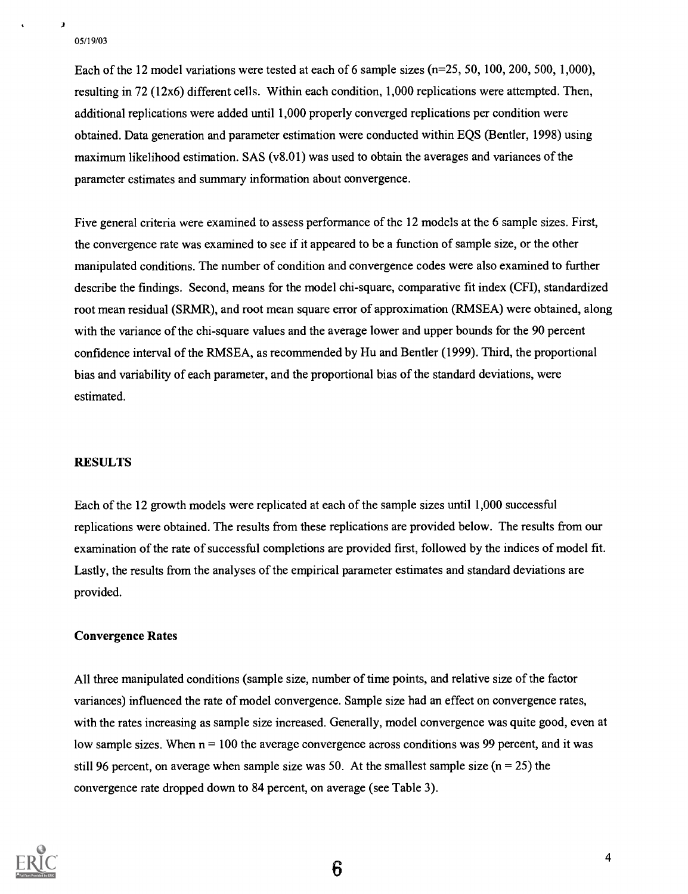$\overline{\boldsymbol{\lambda}}$ 

Each of the 12 model variations were tested at each of 6 sample sizes (n=25, 50, 100, 200, 500, 1,000), resulting in 72 (12x6) different cells. Within each condition, 1,000 replications were attempted. Then, additional replications were added until 1,000 properly converged replications per condition were obtained. Data generation and parameter estimation were conducted within EQS (Bentler, 1998) using maximum likelihood estimation. SAS (v8.01) was used to obtain the averages and variances of the parameter estimates and summary information about convergence.

Five general criteria were examined to assess performance of the 12 models at the 6 sample sizes. First, the convergence rate was examined to see if it appeared to be a function of sample size, or the other manipulated conditions. The number of condition and convergence codes were also examined to further describe the findings. Second, means for the model chi-square, comparative fit index (CFI), standardized root mean residual (SRMR), and root mean square error of approximation (RMSEA) were obtained, along with the variance of the chi-square values and the average lower and upper bounds for the 90 percent confidence interval of the RMSEA, as recommended by Hu and Bentler (1999). Third, the proportional bias and variability of each parameter, and the proportional bias of the standard deviations, were estimated.

## **RESULTS**

Each of the 12 growth models were replicated at each of the sample sizes until 1,000 successful replications were obtained. The results from these replications are provided below. The results from our examination of the rate of successful completions are provided first, followed by the indices of model fit. Lastly, the results from the analyses of the empirical parameter estimates and standard deviations are provided.

## Convergence Rates

All three manipulated conditions (sample size, number of time points, and relative size of the factor variances) influenced the rate of model convergence. Sample size had an effect on convergence rates, with the rates increasing as sample size increased. Generally, model convergence was quite good, even at low sample sizes. When  $n = 100$  the average convergence across conditions was 99 percent, and it was still 96 percent, on average when sample size was 50. At the smallest sample size ( $n = 25$ ) the convergence rate dropped down to 84 percent, on average (see Table 3).

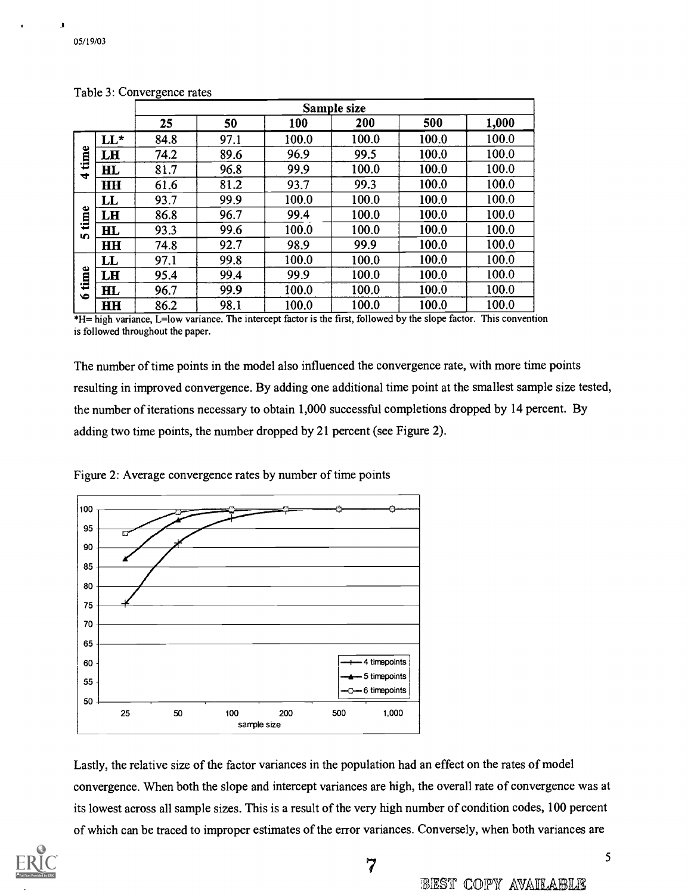J

|                |              | Sample size |      |       |       |       |       |  |  |
|----------------|--------------|-------------|------|-------|-------|-------|-------|--|--|
|                |              | 25          | 50   | 100   | 200   | 500   | 1,000 |  |  |
|                | $LL^*$       | 84.8        | 97.1 | 100.0 | 100.0 | 100.0 | 100.0 |  |  |
| time           | LH           | 74.2        | 89.6 | 96.9  | 99.5  | 100.0 | 100.0 |  |  |
| $\overline{r}$ | $\mathbf{H}$ | 81.7        | 96.8 | 99.9  | 100.0 | 100.0 | 100.0 |  |  |
|                | HH           | 61.6        | 81.2 | 93.7  | 99.3  | 100.0 | 100.0 |  |  |
|                | $\mathbf{L}$ | 93.7        | 99.9 | 100.0 | 100.0 | 100.0 | 100.0 |  |  |
| time           | LH           | 86.8        | 96.7 | 99.4  | 100.0 | 100.0 | 100.0 |  |  |
| <b>In</b>      | $\mathbf{H}$ | 93.3        | 99.6 | 100.0 | 100.0 | 100.0 | 100.0 |  |  |
|                | H H          | 74.8        | 92.7 | 98.9  | 99.9  | 100.0 | 100.0 |  |  |
|                | LL           | 97.1        | 99.8 | 100.0 | 100.0 | 100.0 | 100.0 |  |  |
| time           | LH           | 95.4        | 99.4 | 99.9  | 100.0 | 100.0 | 100.0 |  |  |
| $\bullet$      | $\mathbf{H}$ | 96.7        | 99.9 | 100.0 | 100.0 | 100.0 | 100.0 |  |  |
|                | <b>HH</b>    | 86.2        | 98.1 | 100.0 | 100.0 | 100.0 | 100.0 |  |  |

Table 3: Convergence rates

\*I-1= high variance, L=low variance. The intercept factor is the first, followed by the slope factor. This convention is followed throughout the paper.

The number of time points in the model also influenced the convergence rate, with more time points resulting in improved convergence. By adding one additional time point at the smallest sample size tested, the number of iterations necessary to obtain 1,000 successful completions dropped by 14 percent. By adding two time points, the number dropped by 21 percent (see Figure 2).

Figure 2: Average convergence rates by number of time points



Lastly, the relative size of the factor variances in the population had an effect on the rates of model convergence. When both the slope and intercept variances are high, the overall rate of convergence was at its lowest across all sample sizes. This is a result of the very high number of condition codes, 100 percent of which can be traced to improper estimates of the error variances. Conversely, when both variances are

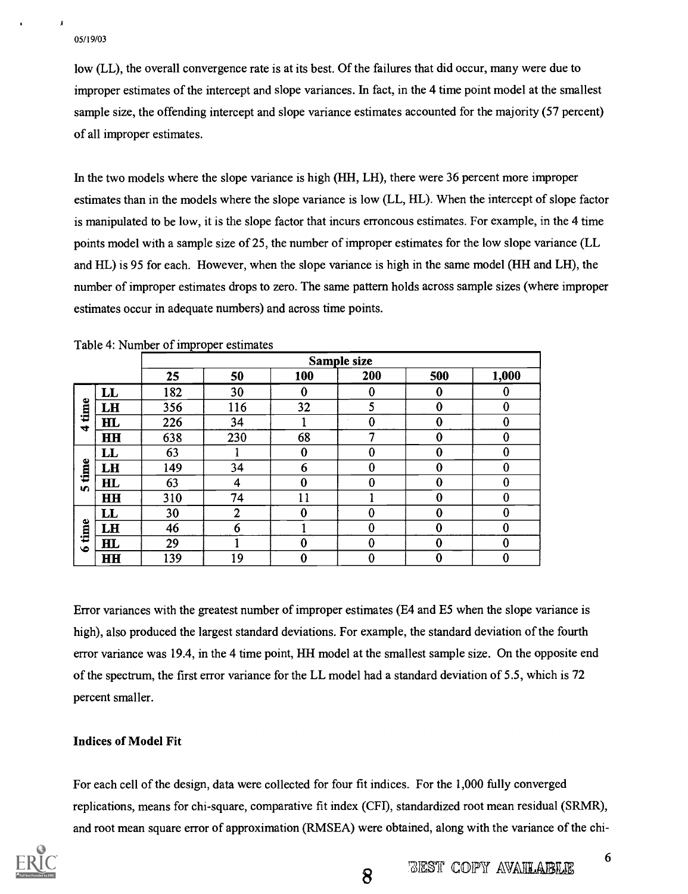J

low (LL), the overall convergence rate is at its best. Of the failures that did occur, many were due to improper estimates of the intercept and slope variances. In fact, in the 4 time point model at the smallest sample size, the offending intercept and slope variance estimates accounted for the majority (57 percent) of all improper estimates.

In the two models where the slope variance is high (HH, LH), there were 36 percent more improper estimates than in the models where the slope variance is low (LL, HL). When the intercept of slope factor is manipulated to be low, it is the slope factor that incurs erroneous estimates. For example, in the 4 time points model with a sample size of 25, the number of improper estimates for the low slope variance (LL and HL) is 95 for each. However, when the slope variance is high in the same model (HH and LH), the number of improper estimates drops to zero. The same pattern holds across sample sizes (where improper estimates occur in adequate numbers) and across time points.

|                      |                |     | Sample size    |     |          |                  |                  |  |  |  |
|----------------------|----------------|-----|----------------|-----|----------|------------------|------------------|--|--|--|
|                      |                | 25  | 50             | 100 | 200      | 500              | 1,000            |  |  |  |
|                      | LL             | 182 | 30             | 0   | 0        | $\boldsymbol{0}$ | 0                |  |  |  |
| time                 | LH             | 356 | 116            | 32  | 5        | $\bf{0}$         | $\bf{0}$         |  |  |  |
| $\blacktriangledown$ | H L            | 226 | 34             |     | 0        | 0                | $\boldsymbol{0}$ |  |  |  |
|                      | <b>HH</b>      | 638 | 230            | 68  | ٣        | 0                | $\boldsymbol{0}$ |  |  |  |
|                      | LL             | 63  |                | 0   | 0        | 0                | $\bf{0}$         |  |  |  |
| time                 | LH             | 149 | 34             | 6   | $\bf{0}$ | $\bf{0}$         | $\bf{0}$         |  |  |  |
| <b>in</b>            | H <sub>L</sub> | 63  | 4              | 0   | $\Omega$ | $\bf{0}$         | $\bf{0}$         |  |  |  |
|                      | <b>HH</b>      | 310 | 74             | 11  |          | 0                | $\bf{0}$         |  |  |  |
|                      | $\mathbf{L}$   | 30  | $\overline{2}$ | 0   | 0        | 0                | $\theta$         |  |  |  |
| time                 | LH             | 46  | 6              |     | $\bf{0}$ | $\bf{0}$         | $\bf{0}$         |  |  |  |
| $\bullet$            | H L            | 29  |                | 0   | 0        | $\theta$         | 0                |  |  |  |
|                      | <b>HH</b>      | 139 | 19             | 0   | $\bf{0}$ | $\bf{0}$         | $\bf{0}$         |  |  |  |

Table 4: Number of improper estimates

Error variances with the greatest number of improper estimates (E4 and E5 when the slope variance is high), also produced the largest standard deviations. For example, the standard deviation of the fourth error variance was 19.4, in the 4 time point, fill model at the smallest sample size. On the opposite end of the spectrum, the first error variance for the LL model had a standard deviation of 5.5, which is 72 percent smaller.

## Indices of Model Fit

For each cell of the design, data were collected for four fit indices. For the 1,000 fully converged replications, means for chi-square, comparative fit index (CFI), standardized root mean residual (SRMR), and root mean square error of approximation (RMSEA) were obtained, along with the variance of the chi-

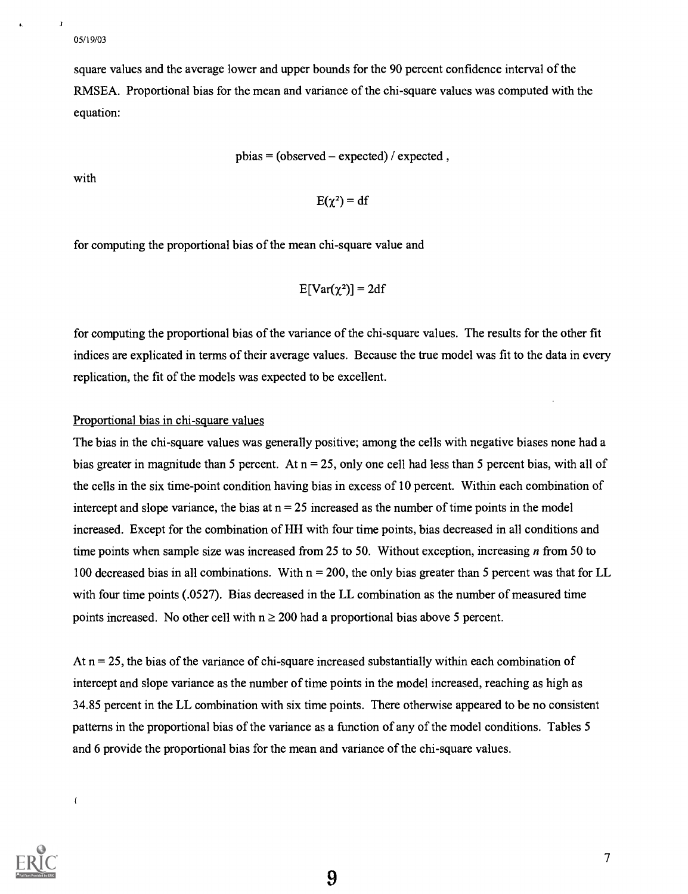$\mathbf{I}$ 

square values and the average lower and upper bounds for the 90 percent confidence interval of the RMSEA. Proportional bias for the mean and variance of the chi-square values was computed with the equation:

 $pbias = (observed - expected) / expected$ ,

with

$$
E(\chi^2) = df
$$

for computing the proportional bias of the mean chi-square value and

$$
E[Var(\chi^2)] = 2df
$$

for computing the proportional bias of the variance of the chi-square values. The results for the other fit indices are explicated in terms of their average values. Because the true model was fit to the data in every replication, the fit of the models was expected to be excellent.

#### Proportional bias in chi-square values

The bias in the chi-square values was generally positive; among the cells with negative biases none had a bias greater in magnitude than 5 percent. At  $n = 25$ , only one cell had less than 5 percent bias, with all of the cells in the six time-point condition having bias in excess of 10 percent. Within each combination of intercept and slope variance, the bias at  $n = 25$  increased as the number of time points in the model increased. Except for the combination of HH with four time points, bias decreased in all conditions and time points when sample size was increased from 25 to 50. Without exception, increasing *n* from 50 to 100 decreased bias in all combinations. With  $n = 200$ , the only bias greater than 5 percent was that for LL with four time points (.0527). Bias decreased in the LL combination as the number of measured time points increased. No other cell with  $n \ge 200$  had a proportional bias above 5 percent.

At  $n = 25$ , the bias of the variance of chi-square increased substantially within each combination of intercept and slope variance as the number of time points in the model increased, reaching as high as 34.85 percent in the LL combination with six time points. There otherwise appeared to be no consistent patterns in the proportional bias of the variance as a function of any of the model conditions. Tables 5 and 6 provide the proportional bias for the mean and variance of the chi-square values.

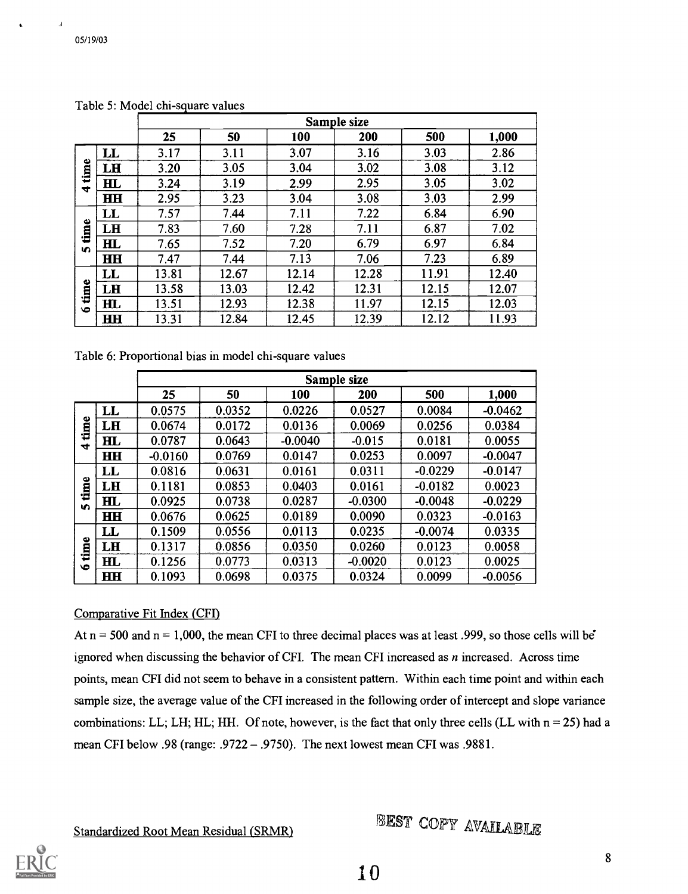$\pmb{\lambda}$ 

|           |              |       | Sample size |       |       |       |       |  |  |  |
|-----------|--------------|-------|-------------|-------|-------|-------|-------|--|--|--|
|           |              | 25    | 50          | 100   | 200   | 500   | 1,000 |  |  |  |
|           | LL           | 3.17  | 3.11        | 3.07  | 3.16  | 3.03  | 2.86  |  |  |  |
| time      | LH           | 3.20  | 3.05        | 3.04  | 3.02  | 3.08  | 3.12  |  |  |  |
| 4         | $\mathbf{H}$ | 3.24  | 3.19        | 2.99  | 2.95  | 3.05  | 3.02  |  |  |  |
|           | $\mathbf{H}$ | 2.95  | 3.23        | 3.04  | 3.08  | 3.03  | 2.99  |  |  |  |
|           | LL           | 7.57  | 7.44        | 7.11  | 7.22  | 6.84  | 6.90  |  |  |  |
| time      | LH           | 7.83  | 7.60        | 7.28  | 7.11  | 6.87  | 7.02  |  |  |  |
| <b>in</b> | $\mathbf{H}$ | 7.65  | 7.52        | 7.20  | 6.79  | 6.97  | 6.84  |  |  |  |
|           | HH           | 7.47  | 7.44        | 7.13  | 7.06  | 7.23  | 6.89  |  |  |  |
|           | $\mathbf{L}$ | 13.81 | 12.67       | 12.14 | 12.28 | 11.91 | 12.40 |  |  |  |
| time      | LH           | 13.58 | 13.03       | 12.42 | 12.31 | 12.15 | 12.07 |  |  |  |
| $\bullet$ | H L          | 13.51 | 12.93       | 12.38 | 11.97 | 12.15 | 12.03 |  |  |  |
|           | HН           | 13.31 | 12.84       | 12.45 | 12.39 | 12.12 | 11.93 |  |  |  |

Table 5: Model chi-square values

Table 6: Proportional bias in model chi-square values

|                      |                | Sample size |        |           |           |           |           |  |  |
|----------------------|----------------|-------------|--------|-----------|-----------|-----------|-----------|--|--|
|                      |                | 25          | 50     | 100       | 200       | 500       | 1,000     |  |  |
|                      | LL             | 0.0575      | 0.0352 | 0.0226    | 0.0527    | 0.0084    | $-0.0462$ |  |  |
| time                 | LH             | 0.0674      | 0.0172 | 0.0136    | 0.0069    | 0.0256    | 0.0384    |  |  |
| $\blacktriangledown$ | H <sub>L</sub> | 0.0787      | 0.0643 | $-0.0040$ | $-0.015$  | 0.0181    | 0.0055    |  |  |
|                      | HН             | $-0.0160$   | 0.0769 | 0.0147    | 0.0253    | 0.0097    | $-0.0047$ |  |  |
|                      | $\mathbf{L}$   | 0.0816      | 0.0631 | 0.0161    | 0.0311    | $-0.0229$ | $-0.0147$ |  |  |
| time                 | LH             | 0.1181      | 0.0853 | 0.0403    | 0.0161    | $-0.0182$ | 0.0023    |  |  |
| <b>In</b>            | $H\!L$         | 0.0925      | 0.0738 | 0.0287    | $-0.0300$ | $-0.0048$ | $-0.0229$ |  |  |
|                      | <b>HH</b>      | 0.0676      | 0.0625 | 0.0189    | 0.0090    | 0.0323    | $-0.0163$ |  |  |
|                      | $\mathbf{L}$   | 0.1509      | 0.0556 | 0.0113    | 0.0235    | $-0.0074$ | 0.0335    |  |  |
| time                 | LH             | 0.1317      | 0.0856 | 0.0350    | 0.0260    | 0.0123    | 0.0058    |  |  |
| $\bullet$            | H L            | 0.1256      | 0.0773 | 0.0313    | $-0.0020$ | 0.0123    | 0.0025    |  |  |
|                      | <b>HH</b>      | 0.1093      | 0.0698 | 0.0375    | 0.0324    | 0.0099    | $-0.0056$ |  |  |

## Comparative Fit Index (CFI)

At  $n = 500$  and  $n = 1,000$ , the mean CFI to three decimal places was at least .999, so those cells will be ignored when discussing the behavior of CFI. The mean CFI increased as  $n$  increased. Across time points, mean CFI did not seem to behave in a consistent pattern. Within each time point and within each sample size, the average value of the CFI increased in the following order of intercept and slope variance combinations: LL; LH; HL; HH. Of note, however, is the fact that only three cells (LL with  $n = 25$ ) had a mean CFI below .98 (range: .9722 - .9750). The next lowest mean CFI was .9881.

Standardized Root Mean Residual (SRMR) FIEST COPY AVAILABLE

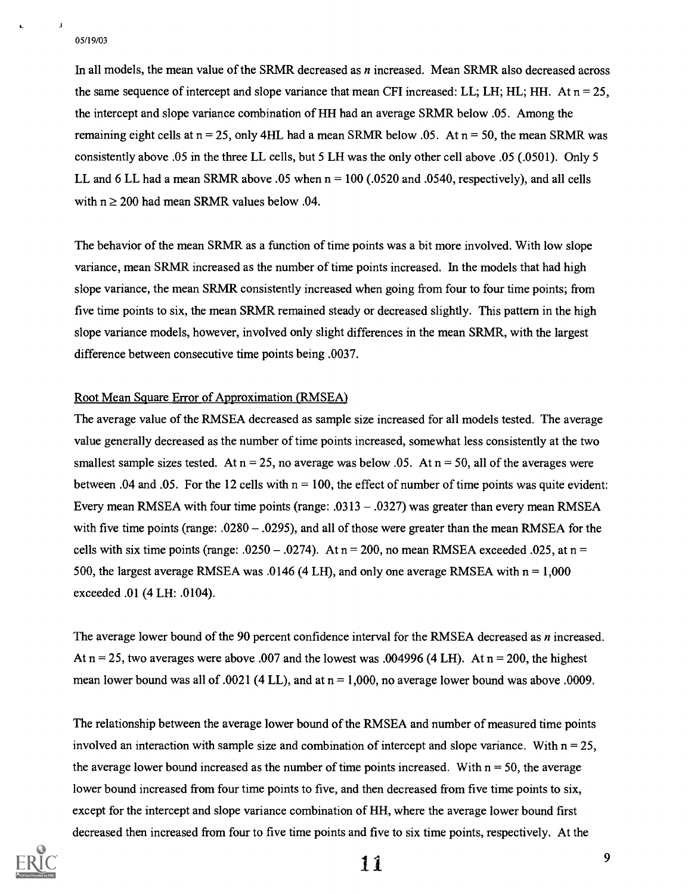$\mathbf{I} = \{ \mathbf{I} \}$ 

In all models, the mean value of the SRMR decreased as n increased. Mean SRMR also decreased across the same sequence of intercept and slope variance that mean CFI increased: LL; LH; HL; HH. At  $n = 25$ . the intercept and slope variance combination of HH had an average SRMR below .05. Among the remaining eight cells at  $n = 25$ , only 4HL had a mean SRMR below .05. At  $n = 50$ , the mean SRMR was consistently above .05 in the three LL cells, but 5 LH was the only other cell above .05 (.0501). Only 5 LL and 6 LL had a mean SRMR above .05 when  $n = 100$  (.0520 and .0540, respectively), and all cells with  $n \ge 200$  had mean SRMR values below .04.

The behavior of the mean SRMR as a function of time points was a bit more involved. With low slope variance, mean SRMR increased as the number of time points increased. In the models that had high slope variance, the mean SRMR consistently increased when going from four to four time points; from five time points to six, the mean SRMR remained steady or decreased slightly. This pattern in the high slope variance models, however, involved only slight differences in the mean SRMR, with the largest difference between consecutive time points being .0037.

## Root Mean Square Error of Approximation (RMSEA)

The average value of the RMSEA decreased as sample size increased for all models tested. The average value generally decreased as the number of time points increased, somewhat less consistently at the two smallest sample sizes tested. At  $n = 25$ , no average was below .05. At  $n = 50$ , all of the averages were between .04 and .05. For the 12 cells with  $n = 100$ , the effect of number of time points was quite evident: Every mean RMSEA with four time points (range: .0313  $-$  .0327) was greater than every mean RMSEA with five time points (range:  $.0280 - .0295$ ), and all of those were greater than the mean RMSEA for the cells with six time points (range: .0250 – .0274). At  $n = 200$ , no mean RMSEA exceeded .025, at  $n =$ 500, the largest average RMSEA was .0146 (4 LH), and only one average RMSEA with  $n = 1,000$ exceeded .01 (4 LH: .0104).

The average lower bound of the 90 percent confidence interval for the RMSEA decreased as n increased. At  $n = 25$ , two averages were above .007 and the lowest was .004996 (4 LH). At  $n = 200$ , the highest mean lower bound was all of .0021 (4 LL), and at  $n = 1,000$ , no average lower bound was above .0009.

The relationship between the average lower bound of the RMSEA and number of measured time points involved an interaction with sample size and combination of intercept and slope variance. With  $n = 25$ , the average lower bound increased as the number of time points increased. With  $n = 50$ , the average lower bound increased from four time points to five, and then decreased from five time points to six, except for the intercept and slope variance combination of HH, where the average lower bound first decreased then increased from four to five time points and five to six time points, respectively. At the

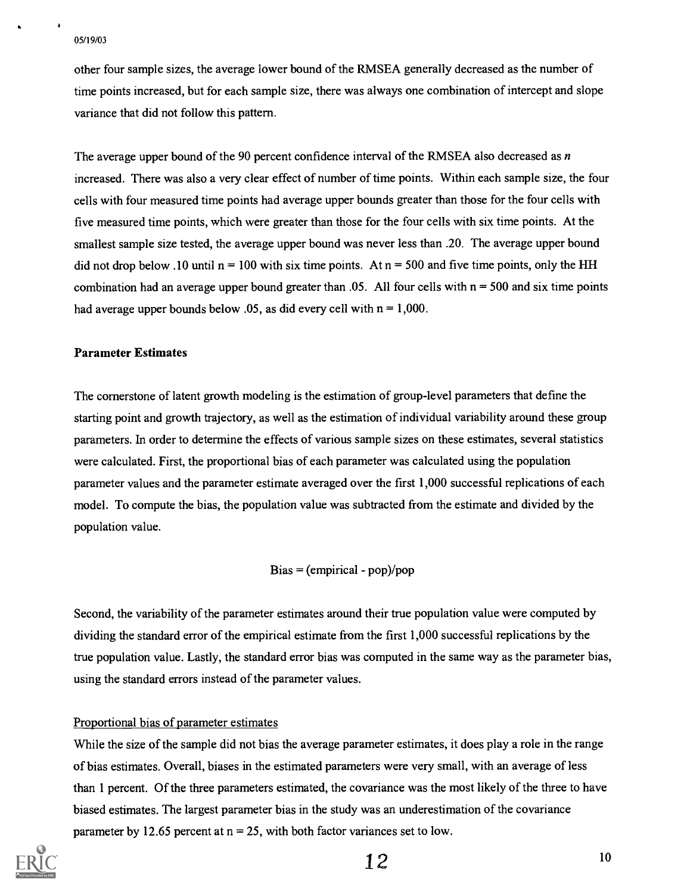$\bullet$ 

other four sample sizes, the average lower bound of the RMSEA generally decreased as the number of time points increased, but for each sample size, there was always one combination of intercept and slope variance that did not follow this pattern.

The average upper bound of the 90 percent confidence interval of the RMSEA also decreased as  $n$ increased. There was also a very clear effect of number of time points. Within each sample size, the four cells with four measured time points had average upper bounds greater than those for the four cells with five measured time points, which were greater than those for the four cells with six time points. At the smallest sample size tested, the average upper bound was never less than .20. The average upper bound did not drop below .10 until  $n = 100$  with six time points. At  $n = 500$  and five time points, only the HH combination had an average upper bound greater than  $.05$ . All four cells with  $n = 500$  and six time points had average upper bounds below .05, as did every cell with  $n = 1,000$ .

## Parameter Estimates

The cornerstone of latent growth modeling is the estimation of group-level parameters that define the starting point and growth trajectory, as well as the estimation of individual variability around these group parameters. In order to determine the effects of various sample sizes on these estimates, several statistics were calculated. First, the proportional bias of each parameter was calculated using the population parameter values and the parameter estimate averaged over the first 1,000 successful replications of each model. To compute the bias, the population value was subtracted from the estimate and divided by the population value.

## $Bias = (empirical - pop)/pop$

Second, the variability of the parameter estimates around their true population value were computed by dividing the standard error of the empirical estimate from the first 1,000 successful replications by the true population value. Lastly, the standard error bias was computed in the same way as the parameter bias, using the standard errors instead of the parameter values.

## Proportional bias of parameter estimates

While the size of the sample did not bias the average parameter estimates, it does play a role in the range of bias estimates. Overall, biases in the estimated parameters were very small, with an average of less than 1 percent. Of the three parameters estimated, the covariance was the most likely of the three to have biased estimates. The largest parameter bias in the study was an underestimation of the covariance parameter by 12.65 percent at  $n = 25$ , with both factor variances set to low.



```
12 10
```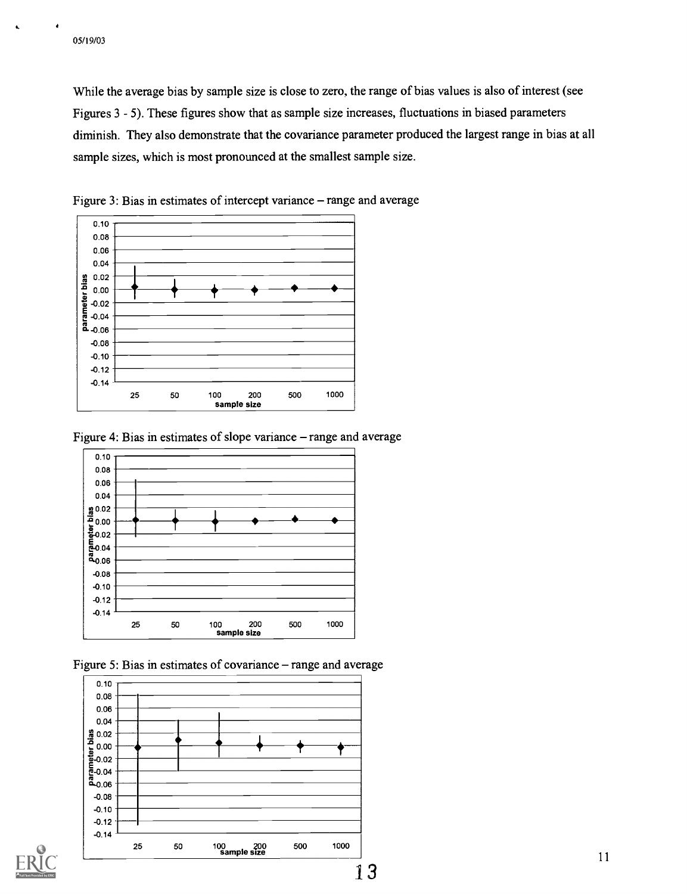**A** 

While the average bias by sample size is close to zero, the range of bias values is also of interest (see Figures 3 - 5). These figures show that as sample size increases, fluctuations in biased parameters diminish. They also demonstrate that the covariance parameter produced the largest range in bias at all sample sizes, which is most pronounced at the smallest sample size.



Figure 3: Bias in estimates of intercept variance – range and average





Figure 5: Bias in estimates of covariance – range and average

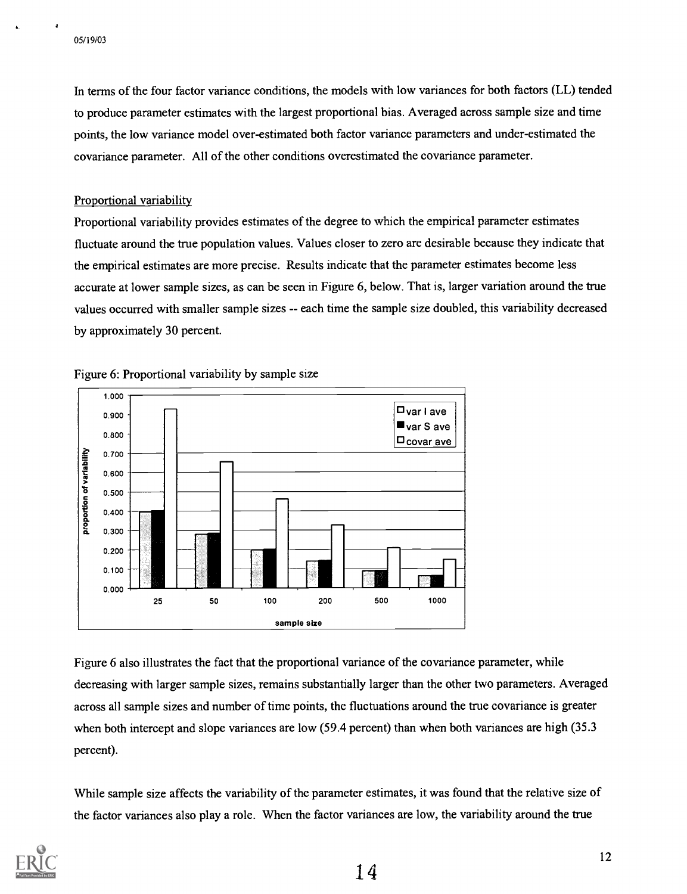a

In terms of the four factor variance conditions, the models with low variances for both factors (LL) tended to produce parameter estimates with the largest proportional bias. Averaged across sample size and time points, the low variance model over-estimated both factor variance parameters and under-estimated the covariance parameter. All of the other conditions overestimated the covariance parameter.

### Proportional variability

Proportional variability provides estimates of the degree to which the empirical parameter estimates fluctuate around the true population values. Values closer to zero are desirable because they indicate that the empirical estimates are more precise. Results indicate that the parameter estimates become less accurate at lower sample sizes, as can be seen in Figure 6, below. That is, larger variation around the true values occurred with smaller sample sizes -- each time the sample size doubled, this variability decreased by approximately 30 percent.



Figure 6: Proportional variability by sample size

Figure 6 also illustrates the fact that the proportional variance of the covariance parameter, while decreasing with larger sample sizes, remains substantially larger than the other two parameters. Averaged across all sample sizes and number of time points, the fluctuations around the true covariance is greater when both intercept and slope variances are low (59.4 percent) than when both variances are high (35.3 percent).

While sample size affects the variability of the parameter estimates, it was found that the relative size of the factor variances also play a role. When the factor variances are low, the variability around the true

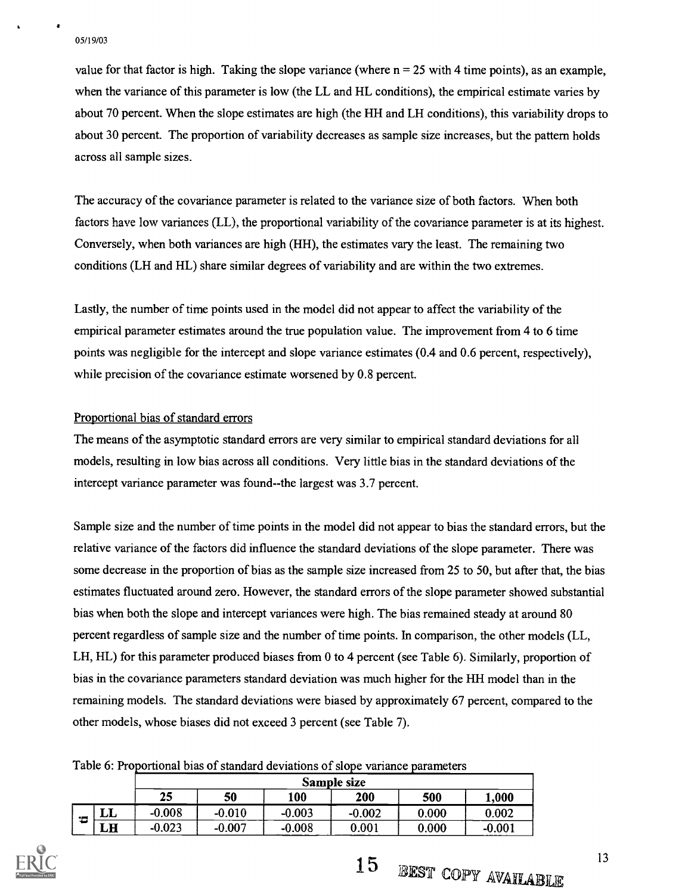value for that factor is high. Taking the slope variance (where  $n = 25$  with 4 time points), as an example, when the variance of this parameter is low (the LL and HL conditions), the empirical estimate varies by about 70 percent. When the slope estimates are high (the HH and LH conditions), this variability drops to about 30 percent. The proportion of variability decreases as sample size increases, but the pattern holds across all sample sizes.

The accuracy of the covariance parameter is related to the variance size of both factors. When both factors have low variances (LL), the proportional variability of the covariance parameter is at its highest. Conversely, when both variances are high (HH), the estimates vary the least. The remaining two conditions (LH and HL) share similar degrees of variability and are within the two extremes.

Lastly, the number of time points used in the model did not appear to affect the variability of the empirical parameter estimates around the true population value. The improvement from 4 to 6 time points was negligible for the intercept and slope variance estimates (0.4 and 0.6 percent, respectively), while precision of the covariance estimate worsened by 0.8 percent.

## Proportional bias of standard errors

The means of the asymptotic standard errors are very similar to empirical standard deviations for all models, resulting in low bias across all conditions. Very little bias in the standard deviations of the intercept variance parameter was found--the largest was 3.7 percent.

Sample size and the number of time points in the model did not appear to bias the standard errors, but the relative variance of the factors did influence the standard deviations of the slope parameter. There was some decrease in the proportion of bias as the sample size increased from 25 to 50, but after that, the bias estimates fluctuated around zero. However, the standard errors of the slope parameter showed substantial bias when both the slope and intercept variances were high. The bias remained steady at around 80 percent regardless of sample size and the number of time points. In comparison, the other models (LL, LH, HL) for this parameter produced biases from 0 to 4 percent (see Table 6). Similarly, proportion of bias in the covariance parameters standard deviation was much higher for the HH model than in the remaining models. The standard deviations were biased by approximately 67 percent, compared to the other models, whose biases did not exceed 3 percent (see Table 7).

Table 6: Proportional bias of standard deviations of slope variance parameters

|                   |              | Sample size |          |          |          |       |          |  |  |
|-------------------|--------------|-------------|----------|----------|----------|-------|----------|--|--|
|                   |              | 25          | 50       | 100      | 200      | 500   | 000,     |  |  |
| $\blacksquare$    | $\mathbf{L}$ | $-0.008$    | $-0.010$ | $-0.003$ | $-0.002$ | 0.000 | 0.002    |  |  |
| <b>CANADIAN A</b> | LH           | $-0.023$    | $-0.007$ | $-0.008$ | 0.001    | 0.000 | $-0.001$ |  |  |



15 BEST COPY AVAILABLE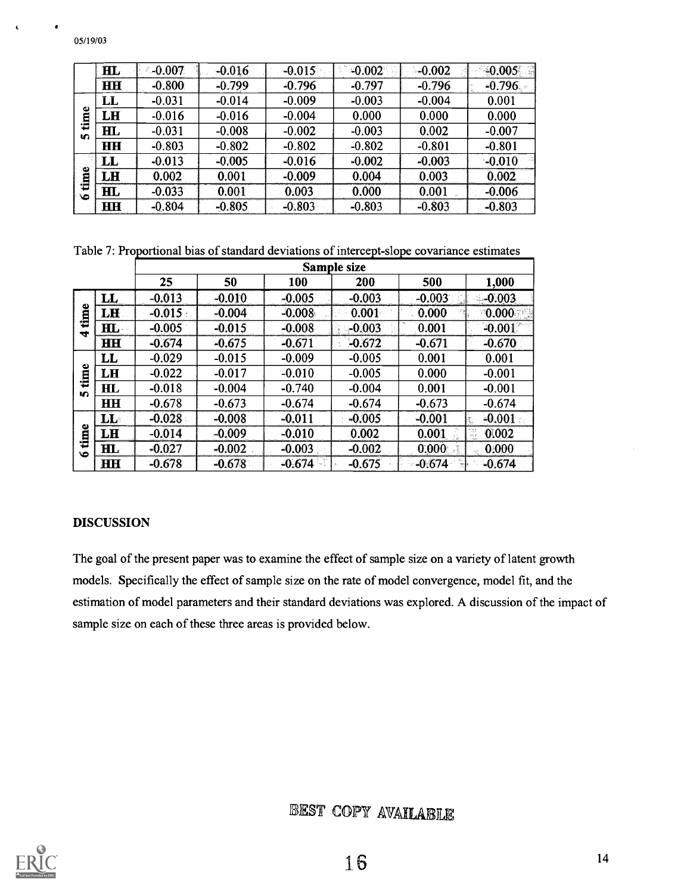|                | $\mathbf{H}$           | $-0.007$ | $-0.016$ | $-0.015$ | $-0.002$ | $-0.002$ | $-0.005$ |
|----------------|------------------------|----------|----------|----------|----------|----------|----------|
|                | HH                     | $-0.800$ | $-0.799$ | $-0.796$ | $-0.797$ | $-0.796$ | $-0.796$ |
|                | LL                     | $-0.031$ | $-0.014$ | $-0.009$ | $-0.003$ | $-0.004$ | 0.001    |
| ω<br>Ē         | LH                     | $-0.016$ | $-0.016$ | $-0.004$ | 0.000    | 0.000    | 0.000    |
| €<br><b>In</b> | $\mathbf{H}$           | $-0.031$ | $-0.008$ | $-0.002$ | $-0.003$ | 0.002    | $-0.007$ |
|                | <b>HH</b>              | $-0.803$ | $-0.802$ | $-0.802$ | $-0.802$ | $-0.801$ | $-0.801$ |
|                | $\mathbf{L}$           | $-0.013$ | $-0.005$ | $-0.016$ | $-0.002$ | $-0.003$ | $-0.010$ |
| Φ<br>흠         | LH                     | 0.002    | 0.001    | $-0.009$ | 0.004    | 0.003    | 0.002    |
| 恒<br>ھە        | $\mathbf{H}\mathbf{L}$ | $-0.033$ | 0.001    | 0.003    | 0.000    | 0.001    | $-0.006$ |
|                | <b>HH</b>              | $-0.804$ | $-0.805$ | $-0.803$ | $-0.803$ | $-0.803$ | $-0.803$ |

Table 7: Proportional bias of standard deviations of intercept -slope covariance estimates

|                          |                | Sample size |          |          |          |          |               |
|--------------------------|----------------|-------------|----------|----------|----------|----------|---------------|
|                          |                | 25          | 50       | 100      | 200      | 500      | 1,000         |
| time<br>÷                | $\mathbf{L}$   | $-0.013$    | $-0.010$ | $-0.005$ | $-0.003$ | $-0.003$ | $-0.003$      |
|                          | LH             | $-0.015$    | $-0.004$ | $-0.008$ | 0.001    | 0.000    | 0.000         |
|                          | HL.            | $-0.005$    | $-0.015$ | $-0.008$ | $-0.003$ | 0.001    | $-0.001$      |
|                          | <b>HH</b>      | $-0.674$    | $-0.675$ | $-0.671$ | $-0.672$ | $-0.671$ | $-0.670$      |
| time<br><b>In</b>        | $\mathbf{L}$   | $-0.029$    | $-0.015$ | $-0.009$ | $-0.005$ | 0.001    | 0.001         |
|                          | LH             | $-0.022$    | $-0.017$ | $-0.010$ | $-0.005$ | 0.000    | $-0.001$      |
|                          | HL.            | $-0.018$    | $-0.004$ | $-0.740$ | $-0.004$ | 0.001    | $-0.001$      |
|                          | H H            | $-0.678$    | $-0.673$ | $-0.674$ | $-0.674$ | $-0.673$ | $-0.674$      |
| time<br>$\ddot{\bullet}$ | $\mathbf{L}$   | $-0.028$    | $-0.008$ | $-0.011$ | $-0.005$ | $-0.001$ | $-0.001$<br>E |
|                          | LH             | $-0.014$    | $-0.009$ | $-0.010$ | 0.002    | 0.001    | 岀<br>0.002    |
|                          | H <sub>L</sub> | $-0.027$    | $-0.002$ | $-0.003$ | $-0.002$ | 0.000    | 0.000         |
|                          | <b>HH</b>      | $-0.678$    | $-0.678$ | $-0.674$ | $-0.675$ | $-0.674$ | $-0.674$      |

## DISCUSSION

05/19/03

The goal of the present paper was to examine the effect of sample size on a variety of latent growth models. Specifically the effect of sample size on the rate of model convergence, model fit, and the estimation of model parameters and their standard deviations was explored. A discussion of the impact of sample size on each of these three areas is provided below.

## BEST COPY AVAILABLE

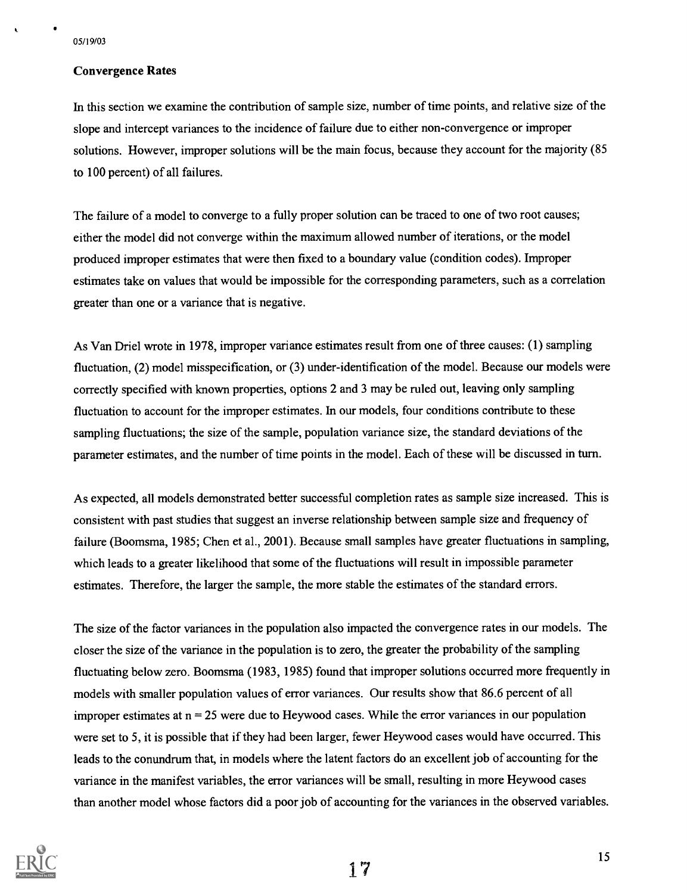## Convergence Rates

In this section we examine the contribution of sample size, number of time points, and relative size of the slope and intercept variances to the incidence of failure due to either non-convergence or improper solutions. However, improper solutions will be the main focus, because they account for the majority (85 to 100 percent) of all failures.

The failure of a model to converge to a fully proper solution can be traced to one of two root causes; either the model did not converge within the maximum allowed number of iterations, or the model produced improper estimates that were then fixed to a boundary value (condition codes). Improper estimates take on values that would be impossible for the corresponding parameters, such as a correlation greater than one or a variance that is negative.

As Van Driel wrote in 1978, improper variance estimates result from one of three causes: (1) sampling fluctuation, (2) model misspecification, or (3) under-identification of the model. Because our models were correctly specified with known properties, options 2 and 3 may be ruled out, leaving only sampling fluctuation to account for the improper estimates. In our models, four conditions contribute to these sampling fluctuations; the size of the sample, population variance size, the standard deviations of the parameter estimates, and the number of time points in the model. Each of these will be discussed in turn.

As expected, all models demonstrated better successful completion rates as sample size increased. This is consistent with past studies that suggest an inverse relationship between sample size and frequency of failure (Boomsma, 1985; Chen et al., 2001). Because small samples have greater fluctuations in sampling, which leads to a greater likelihood that some of the fluctuations will result in impossible parameter estimates. Therefore, the larger the sample, the more stable the estimates of the standard errors.

The size of the factor variances in the population also impacted the convergence rates in our models. The closer the size of the variance in the population is to zero, the greater the probability of the sampling fluctuating below zero. Boomsma (1983, 1985) found that improper solutions occurred more frequently in models with smaller population values of error variances. Our results show that 86.6 percent of all improper estimates at  $n = 25$  were due to Heywood cases. While the error variances in our population were set to 5, it is possible that if they had been larger, fewer Heywood cases would have occurred. This leads to the conundrum that, in models where the latent factors do an excellent job of accounting for the variance in the manifest variables, the error variances will be small, resulting in more Heywood cases than another model whose factors did a poor job of accounting for the variances in the observed variables.



17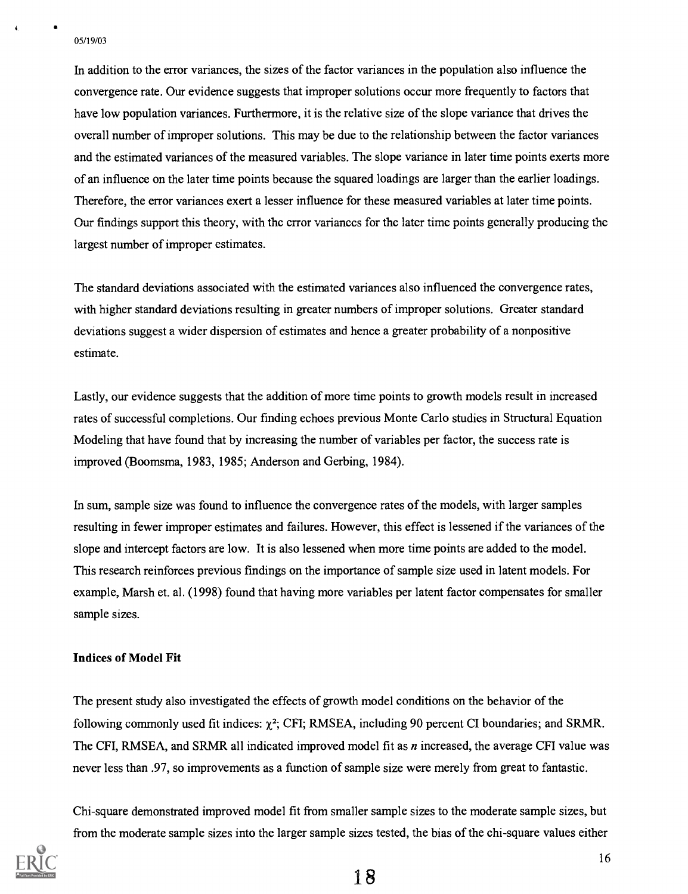In addition to the error variances, the sizes of the factor variances in the population also influence the convergence rate. Our evidence suggests that improper solutions occur more frequently to factors that have low population variances. Furthermore, it is the relative size of the slope variance that drives the overall number of improper solutions. This may be due to the relationship between the factor variances and the estimated variances of the measured variables. The slope variance in later time points exerts more of an influence on the later time points because the squared loadings are larger than the earlier loadings. Therefore, the error variances exert a lesser influence for these measured variables at later time points. Our findings support this theory, with the error variances for the later time points generally producing the largest number of improper estimates.

The standard deviations associated with the estimated variances also influenced the convergence rates, with higher standard deviations resulting in greater numbers of improper solutions. Greater standard deviations suggest a wider dispersion of estimates and hence a greater probability of a nonpositive estimate.

Lastly, our evidence suggests that the addition of more time points to growth models result in increased rates of successful completions. Our finding echoes previous Monte Carlo studies in Structural Equation Modeling that have found that by increasing the number of variables per factor, the success rate is improved (Boomsma, 1983, 1985; Anderson and Gerbing, 1984).

In sum, sample size was found to influence the convergence rates of the models, with larger samples resulting in fewer improper estimates and failures. However, this effect is lessened if the variances of the slope and intercept factors are low. It is also lessened when more time points are added to the model. This research reinforces previous findings on the importance of sample size used in latent models. For example, Marsh et. al. (1998) found that having more variables per latent factor compensates for smaller sample sizes.

## Indices of Model Fit

The present study also investigated the effects of growth model conditions on the behavior of the following commonly used fit indices:  $\chi^2$ ; CFI; RMSEA, including 90 percent CI boundaries; and SRMR. The CFI, RMSEA, and SRMR all indicated improved model fit as  $n$  increased, the average CFI value was never less than .97, so improvements as a function of sample size were merely from great to fantastic.

Chi-square demonstrated improved model fit from smaller sample sizes to the moderate sample sizes, but from the moderate sample sizes into the larger sample sizes tested, the bias of the chi-square values either

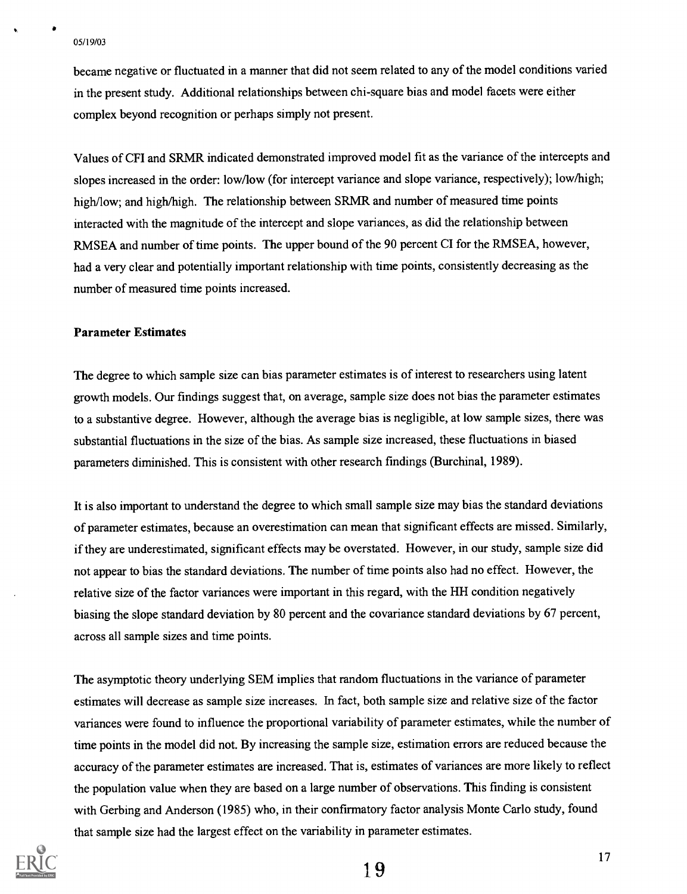a

became negative or fluctuated in a manner that did not seem related to any of the model conditions varied in the present study. Additional relationships between chi-square bias and model facets were either complex beyond recognition or perhaps simply not present.

Values of CFI and SRMR indicated demonstrated improved model fit as the variance of the intercepts and slopes increased in the order: low/low (for intercept variance and slope variance, respectively); low/high; high/low; and high/high. The relationship between SRMR and number of measured time points interacted with the magnitude of the intercept and slope variances, as did the relationship between RMSEA and number of time points. The upper bound of the 90 percent CI for the RMSEA, however, had a very clear and potentially important relationship with time points, consistently decreasing as the number of measured time points increased.

#### Parameter Estimates

The degree to which sample size can bias parameter estimates is of interest to researchers using latent growth models. Our findings suggest that, on average, sample size does not bias the parameter estimates to a substantive degree. However, although the average bias is negligible, at low sample sizes, there was substantial fluctuations in the size of the bias. As sample size increased, these fluctuations in biased parameters diminished. This is consistent with other research findings (Burchinal, 1989).

It is also important to understand the degree to which small sample size may bias the standard deviations of parameter estimates, because an overestimation can mean that significant effects are missed. Similarly, if they are underestimated, significant effects may be overstated. However, in our study, sample size did not appear to bias the standard deviations. The number of time points also had no effect. However, the relative size of the factor variances were important in this regard, with the HH condition negatively biasing the slope standard deviation by 80 percent and the covariance standard deviations by 67 percent, across all sample sizes and time points.

The asymptotic theory underlying SEM implies that random fluctuations in the variance of parameter estimates will decrease as sample size increases. In fact, both sample size and relative size of the factor variances were found to influence the proportional variability of parameter estimates, while the number of time points in the model did not. By increasing the sample size, estimation errors are reduced because the accuracy of the parameter estimates are increased. That is, estimates of variances are more likely to reflect the population value when they are based on a large number of observations. This finding is consistent with Gerbing and Anderson (1985) who, in their confirmatory factor analysis Monte Carlo study, found that sample size had the largest effect on the variability in parameter estimates.

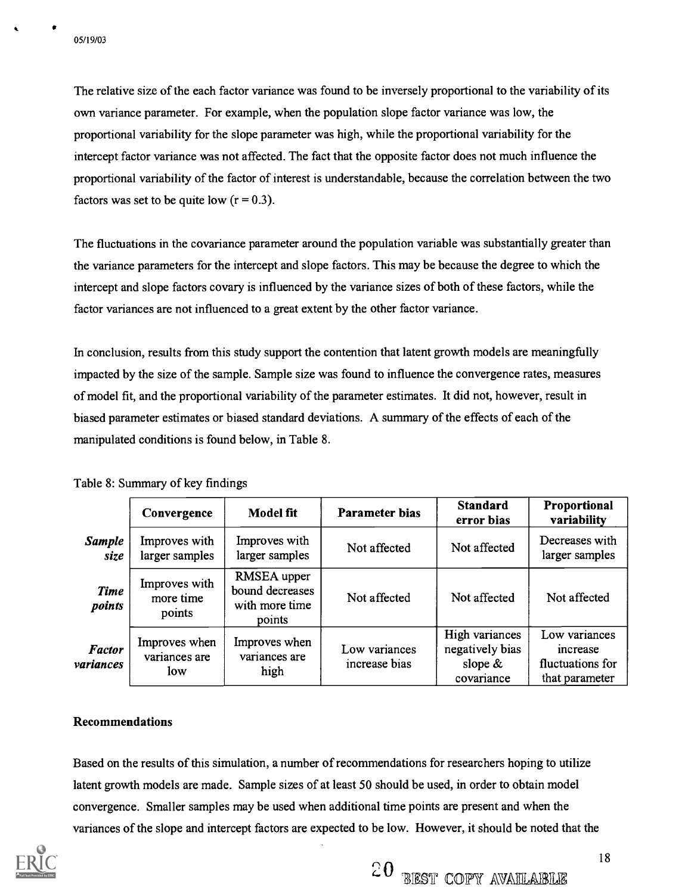**View Strategie** 

The relative size of the each factor variance was found to be inversely proportional to the variability of its own variance parameter. For example, when the population slope factor variance was low, the proportional variability for the slope parameter was high, while the proportional variability for the intercept factor variance was not affected. The fact that the opposite factor does not much influence the proportional variability of the factor of interest is understandable, because the correlation between the two factors was set to be quite low  $(r = 0.3)$ .

The fluctuations in the covariance parameter around the population variable was substantially greater than the variance parameters for the intercept and slope factors. This may be because the degree to which the intercept and slope factors covary is influenced by the variance sizes of both of these factors, while the factor variances are not influenced to a great extent by the other factor variance.

In conclusion, results from this study support the contention that latent growth models are meaningfully impacted by the size of the sample. Sample size was found to influence the convergence rates, measures of model fit, and the proportional variability of the parameter estimates. It did not, however, result in biased parameter estimates or biased standard deviations. A summary of the effects of each of the manipulated conditions is found below, in Table 8.

|                            | Convergence                           | Model fit                                                  | Parameter bias                 | <b>Standard</b><br>error bias                                 | Proportional<br>variability                                     |
|----------------------------|---------------------------------------|------------------------------------------------------------|--------------------------------|---------------------------------------------------------------|-----------------------------------------------------------------|
| <b>Sample</b><br>size      | Improves with<br>larger samples       | Improves with<br>larger samples                            | Not affected                   | Not affected                                                  | Decreases with<br>larger samples                                |
| <b>Time</b><br>points      | Improves with<br>more time<br>points  | RMSEA upper<br>bound decreases<br>with more time<br>points | Not affected                   | Not affected                                                  | Not affected                                                    |
| <b>Factor</b><br>variances | Improves when<br>variances are<br>low | Improves when<br>variances are<br>high                     | Low variances<br>increase bias | High variances<br>negatively bias<br>slope $\&$<br>covariance | Low variances<br>increase<br>fluctuations for<br>that parameter |

Table 8: Summary of key findings

## Recommendations

Based on the results of this simulation, a number of recommendations for researchers hoping to utilize latent growth models are made. Sample sizes of at least 50 should be used, in order to obtain model convergence. Smaller samples may be used when additional time points are present and when the variances of the slope and intercept factors are expected to be low. However, it should be noted that the

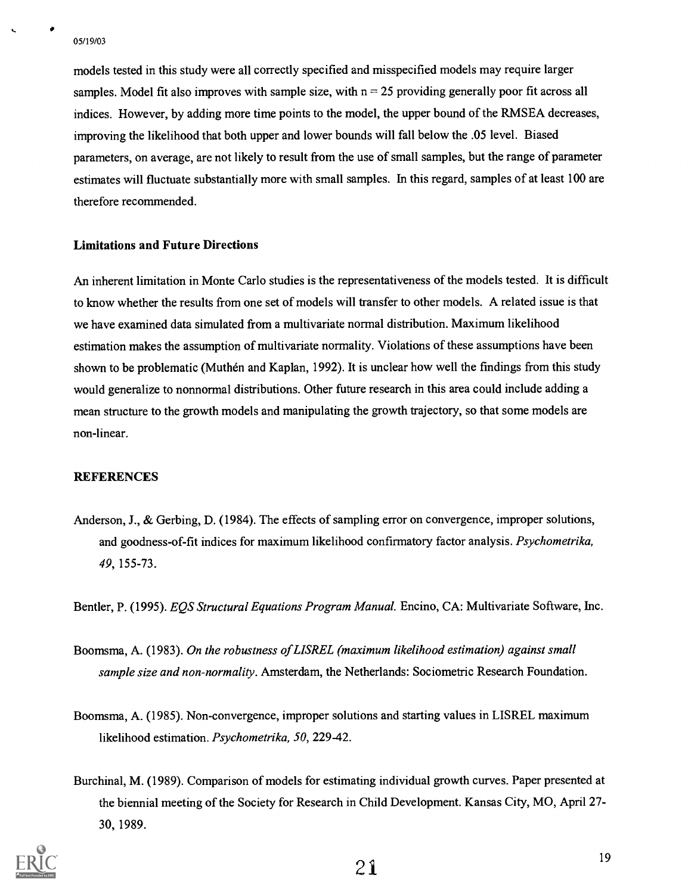..

models tested in this study were all correctly specified and misspecified models may require larger samples. Model fit also improves with sample size, with  $n = 25$  providing generally poor fit across all indices. However, by adding more time points to the model, the upper bound of the RMSEA decreases, improving the likelihood that both upper and lower bounds will fall below the .05 level. Biased parameters, on average, are not likely to result from the use of small samples, but the range of parameter estimates will fluctuate substantially more with small samples. In this regard, samples of at least 100 are therefore recommended.

## Limitations and Future Directions

An inherent limitation in Monte Carlo studies is the representativeness of the models tested. It is difficult to know whether the results from one set of models will transfer to other models. A related issue is that we have examined data simulated from a multivariate normal distribution. Maximum likelihood estimation makes the assumption of multivariate normality. Violations of these assumptions have been shown to be problematic (Muthen and Kaplan, 1992). It is unclear how well the findings from this study would generalize to nonnormal distributions. Other future research in this area could include adding a mean structure to the growth models and manipulating the growth trajectory, so that some models are non-linear.

#### REFERENCES

Anderson, J., & Gerbing, D. (1984). The effects of sampling error on convergence, improper solutions, and goodness-of-fit indices for maximum likelihood confirmatory factor analysis. Psychometrika, 49, 155-73.

Bentler, P. (1995). EQS Structural Equations Program Manual. Encino, CA: Multivariate Software, Inc.

- Boomsma, A. (1983). On the robustness of LISREL (maximum likelihood estimation) against small sample size and non-normality. Amsterdam, the Netherlands: Sociometric Research Foundation.
- Boomsma, A. (1985). Non-convergence, improper solutions and starting values in LISREL maximum likelihood estimation. Psychometrika, 50, 229-42.
- Burchinal, M. (1989). Comparison of models for estimating individual growth curves. Paper presented at the biennial meeting of the Society for Research in Child Development. Kansas City, MO, April 27- 30, 1989.

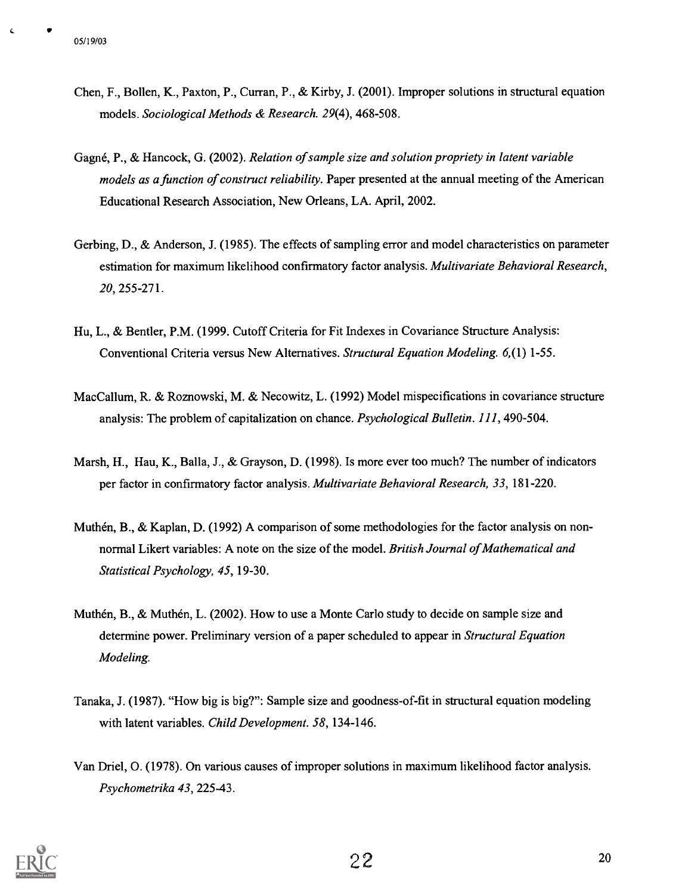- Chen, F., Bollen, K., Paxton, P., Curran, P., & Kirby, J. (2001). Improper solutions in structural equation models. Sociological Methods & Research. 29(4), 468-508.
- Gagne, P., & Hancock, G. (2002). Relation of sample size and solution propriety in latent variable models as a function of construct reliability. Paper presented at the annual meeting of the American Educational Research Association, New Orleans, LA. April, 2002.
- Gerbing, D., & Anderson, J. (1985). The effects of sampling error and model characteristics on parameter estimation for maximum likelihood confirmatory factor analysis. Multivariate Behavioral Research, 20, 255-271.
- Hu, L., & Bentler, P.M. (1999. Cutoff Criteria for Fit Indexes in Covariance Structure Analysis: Conventional Criteria versus New Alternatives. Structural Equation Modeling. 6,(1) 1-55.
- MacCallum, R. & Roznowski, M. & Necowitz, L. (1992) Model mispecifications in covariance structure analysis: The problem of capitalization on chance. Psychological Bulletin. 111, 490-504.
- Marsh, H., Hau, K., Balla, J., & Grayson, D. (1998). Is more ever too much? The number of indicators per factor in confirmatory factor analysis. Multivariate Behavioral Research, 33, 181-220.
- Muthén, B., & Kaplan, D. (1992) A comparison of some methodologies for the factor analysis on nonnormal Likert variables: A note on the size of the model. British Journal of Mathematical and Statistical Psychology, 45, 19-30.
- Muthen, B., & Muthen, L. (2002). How to use a Monte Carlo study to decide on sample size and determine power. Preliminary version of a paper scheduled to appear in *Structural Equation* Modeling.
- Tanaka, J. (1987). "How big is big?": Sample size and goodness-of-fit in structural equation modeling with latent variables. Child Development. 58, 134-146.
- Van Driel, 0. (1978). On various causes of improper solutions in maximum likelihood factor analysis. Psychometrika 43, 225-43.

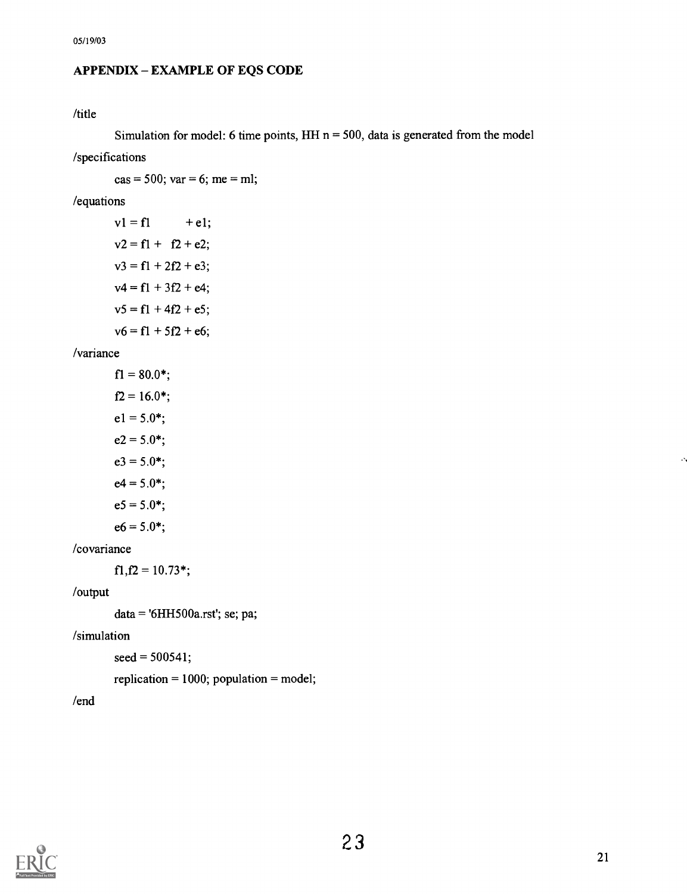## APPENDIX - EXAMPLE OF EQS CODE

## /title

Simulation for model: 6 time points,  $HH n = 500$ , data is generated from the model

/specifications

 $cas = 500$ ;  $var = 6$ ; me = ml;

/equations

```
v1 = f1 + e1;v2 = f1 + f2 + e2;
v3 = f1 + 2f2 + e3;v4 = f1 + 3f2 + e4;v5 = f1 + 4f2 + e5;v6 = f1 + 5f2 + e6;
```
/variance

```
f1 = 80.0*;
f2 = 16.0*;
e1 = 5.0*;
e2 = 5.0*;
e3 = 5.0*;
e4 = 5.0*;
e5 = 5.0*;
e6 = 5.0*;
```
/covariance

 $f1,f2 = 10.73$ \*;

/output

 $data = 6HH500a.rst$ ; se; pa;

/simulation

 $seed = 500541;$ 

replication  $= 1000$ ; population  $=$  model;

/end

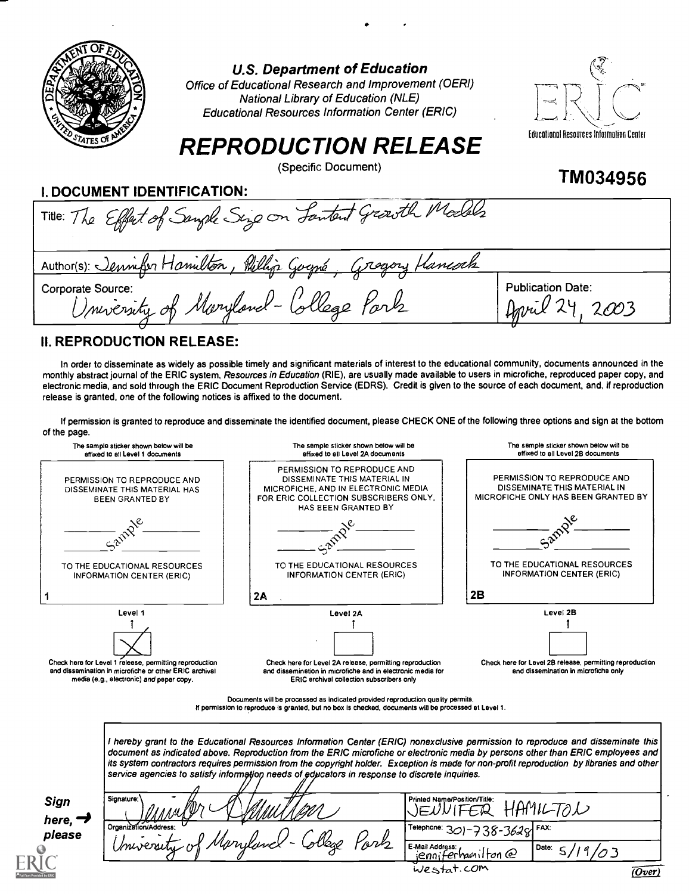

U.S. Department of Education

Office of Educational Research and Improvement (OERI) National Library of Education (NLE) Educational Resources Information Center (ERIC)



TM034956

# REPRODUCTION RELEASE

(Specific Document)

## I. DOCUMENT IDENTIFICATION:

| Title: The Effect of Sangle Sing on Lantent Growth Models                                                                         |                                      |
|-----------------------------------------------------------------------------------------------------------------------------------|--------------------------------------|
| Author(s): Jennifer Hamilton, Phillip Gogné<br><i>Creyory Hancock</i><br>Corporate Source:<br>University of Maryland-College Park | <b>Publication Date:</b><br>April 29 |

## II. REPRODUCTION RELEASE:

In order to disseminate as widely as possible timely and significant materials of interest to the educational community, documents announced in the monthly abstract journal of the ERIC system, Resources in Education (RIE), are usually made available to users in microfiche, reproduced paper copy, and electronic media, and sold through the ERIC Document Reproduction Service (EDRS). Credit is given to the source of each document, and, if reproduction release is granted, one of the following notices is affixed to the document.

If permission is granted to reproduce and disseminate the identified document, please CHECK ONE of the following three options and sign at the bottom of the page.



I hereby grant to the Educational Resources Information Center (ERIC) nonexclusive permission to reproduce and disseminate this document as indicated above. Reproduction from the ERIC microfiche or electronic media by persons other than ERIC employees and its system contractors requires permission from the copyright holder. Exception is made for non-profit reproduction by libraries and other service agencies to satisfy information needs of educators in response to discrete inquiries.

| Sign            | Signature:<br>〃<br>$\mathscr{M}'$<br>POn | Printed Name/Position/Title:<br>$\Delta M$ rz<br>- |       |        |
|-----------------|------------------------------------------|----------------------------------------------------|-------|--------|
| here, $\daleth$ | II NAL                                   |                                                    |       |        |
| please          | Organization/Address.<br>M)              | Telephone: $301 - 738 - 3628$ FAX:                 |       |        |
|                 | Mongland<br>ovs<br>Sley<br>University of | E-Mail Address:<br>$i$ enniferhanilton $\varrho$   | Date: |        |
|                 |                                          | westat.com                                         |       | (Over) |